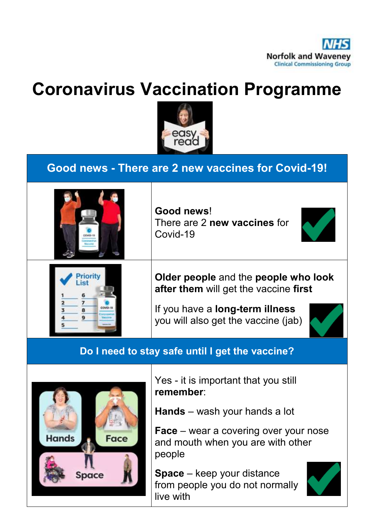

# **Coronavirus Vaccination Programme**



## **Good news - There are 2 new vaccines for Covid-19!**



**Good news**! There are 2 **new vaccines** for Covid-19





**Older people** and the **people who look after them** will get the vaccine **first**

If you have a **long-term illness** you will also get the vaccine (jab)



#### **Do I need to stay safe until I get the vaccine?**



Yes - it is important that you still **remember**:

**Hands** – wash your hands a lot

**Face** – wear a covering over your nose and mouth when you are with other people

**Space** – keep your distance from people you do not normally live with

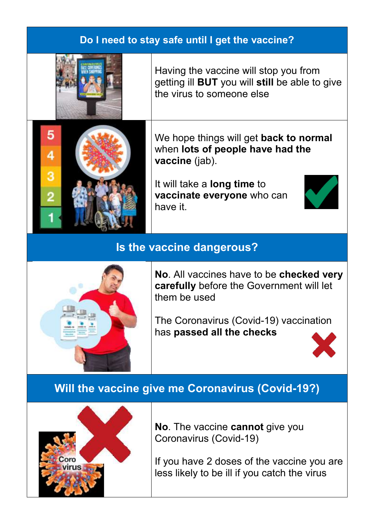#### **Do I need to stay safe until I get the vaccine?**



5

4

3

Having the vaccine will stop you from getting ill **BUT** you will **still** be able to give the virus to someone else

We hope things will get **back to normal** when **lots of people have had the vaccine** (jab).

It will take a **long time** to **vaccinate everyone** who can have it.

#### **Is the vaccine dangerous?**



**No**. All vaccines have to be **checked very carefully** before the Government will let them be used

The Coronavirus (Covid-19) vaccination has **passed all the checks**



#### **Will the vaccine give me Coronavirus (Covid-19?)**



**No**. The vaccine **cannot** give you Coronavirus (Covid-19)

If you have 2 doses of the vaccine you are less likely to be ill if you catch the virus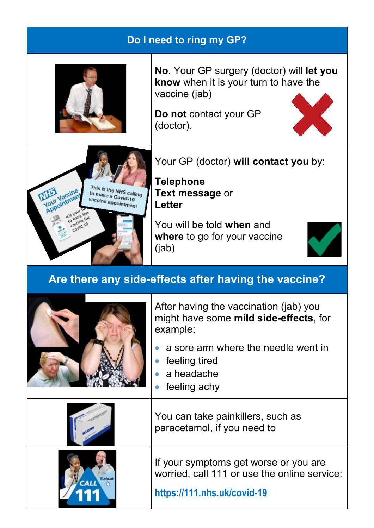| Do I need to ring my GP?                                             |                                                                                                                                                                                    |  |
|----------------------------------------------------------------------|------------------------------------------------------------------------------------------------------------------------------------------------------------------------------------|--|
|                                                                      | <b>No.</b> Your GP surgery (doctor) will <b>let you</b><br>know when it is your turn to have the<br>vaccine (jab)<br>Do not contact your GP<br>(doctor).                           |  |
| This is the NHS calling<br>to make a Covid-19<br>vaccine appointment | Your GP (doctor) will contact you by:<br><b>Telephone</b><br><b>Text message or</b><br><b>Letter</b><br>You will be told when and<br>where to go for your vaccine<br>(jab)         |  |
| Are there any side-effects after having the vaccine?                 |                                                                                                                                                                                    |  |
|                                                                      | After having the vaccination (jab) you<br>might have some mild side-effects, for<br>example:<br>a sore arm where the needle went in<br>feeling tired<br>a headache<br>feeling achy |  |
|                                                                      | You can take painkillers, such as<br>paracetamol, if you need to                                                                                                                   |  |
|                                                                      | If your symptoms get worse or you are<br>worried, call 111 or use the online service:<br>https://111.nhs.uk/covid-19                                                               |  |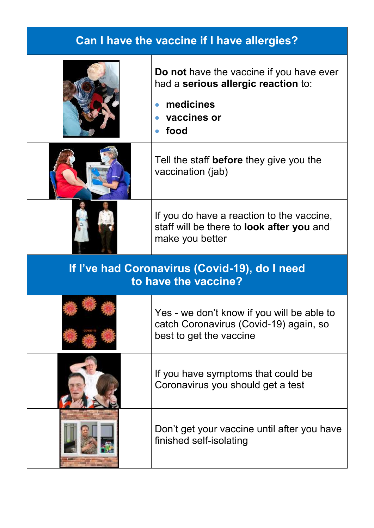| <b>Can I have the vaccine if I have allergies?</b>                    |                                                                                                                                    |  |
|-----------------------------------------------------------------------|------------------------------------------------------------------------------------------------------------------------------------|--|
|                                                                       | Do not have the vaccine if you have ever<br>had a serious allergic reaction to:<br>medicines<br>$\bullet$<br>• vaccines or<br>food |  |
|                                                                       | Tell the staff <b>before</b> they give you the<br>vaccination (jab)                                                                |  |
|                                                                       | If you do have a reaction to the vaccine,<br>staff will be there to <b>look after you</b> and<br>make you better                   |  |
| If I've had Coronavirus (Covid-19), do I need<br>to have the vaccine? |                                                                                                                                    |  |
|                                                                       | Yes - we don't know if you will be able to<br>catch Coronavirus (Covid-19) again, so<br>best to get the vaccine                    |  |
|                                                                       | If you have symptoms that could be<br>Coronavirus you should get a test                                                            |  |
|                                                                       | Don't get your vaccine until after you have<br>finished self-isolating                                                             |  |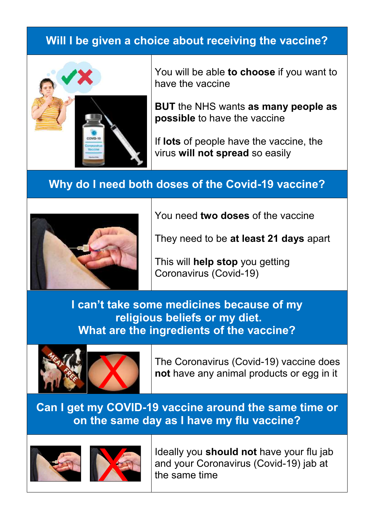## **Will I be given a choice about receiving the vaccine?**



You will be able **to choose** if you want to have the vaccine

**BUT** the NHS wants **as many people as possible** to have the vaccine

If **lots** of people have the vaccine, the virus **will not spread** so easily

### **Why do I need both doses of the Covid-19 vaccine?**



You need **two doses** of the vaccine

They need to be **at least 21 days** apart

This will **help stop** you getting Coronavirus (Covid-19)

**I can't take some medicines because of my religious beliefs or my diet. What are the ingredients of the vaccine?**



The Coronavirus (Covid-19) vaccine does **not** have any animal products or egg in it

**Can I get my COVID-19 vaccine around the same time or on the same day as I have my flu vaccine?**





Ideally you **should not** have your flu jab and your Coronavirus (Covid-19) jab at the same time